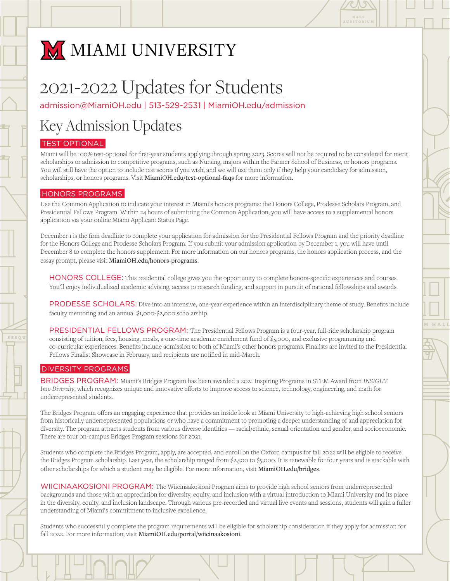

# M MIAMI UNIVERSITY

# 2021-2022 Updates for Students

[admission@MiamiOH.edu](mailto:admission@MiamiOH.edu) | 513-529-2531 | [MiamiOH.edu/admission](http://MiamiOH.edu/admission)

## Key Admission Updates

## TEST OPTIONAL

Miami will be 100% test-optional for first-year students applying through spring 2023. Scores will not be required to be considered for merit scholarships or admission to competitive programs, such as Nursing, majors within the Farmer School of Business, or honors programs. You will still have the option to include test scores if you wish, and we will use them only if they help your candidacy for admission, scholarships, or honors programs. Visit MiamiOH.edu/test-optional-faqs for more information.

### HONORS PROGRAMS

Use the Common Application to indicate your interest in Miami's honors programs: the Honors College, Prodesse Scholars Program, and Presidential Fellows Program. Within 24 hours of submitting the Common Application, you will have access to a supplemental honors application via your online Miami Applicant Status Page.

December 1 is the firm deadline to complete your application for admission for the Presidential Fellows Program and the priority deadline for the Honors College and Prodesse Scholars Program. If you submit your admission application by December 1, you will have until December 8 to complete the honors supplement. For more information on our honors programs, the honors application process, and the essay prompt, please visit MiamiOH.edu/honors-programs.

HONORS COLLEGE: This residential college gives you the opportunity to complete honors-specific experiences and courses. You'll enjoy individualized academic advising, access to research funding, and support in pursuit of national fellowships and awards.

PRODESSE SCHOLARS: Dive into an intensive, one-year experience within an interdisciplinary theme of study. Benefits include faculty mentoring and an annual \$1,000-\$2,000 scholarship.

PRESIDENTIAL FELLOWS PROGRAM: The Presidential Fellows Program is a four-year, full-ride scholarship program consisting of tuition, fees, housing, meals, a one-time academic enrichment fund of \$5,000, and exclusive programming and co-curricular experiences. Benefits include admission to both of Miami's other honors programs. Finalists are invited to the Presidential Fellows Finalist Showcase in February, and recipients are notified in mid-March.

### DIVERSITY PROGRAMS

BRIDGES PROGRAM: Miami's Bridges Program has been awarded a 2021 Inspiring Programs in STEM Award from *INSIGHT Into Diversity*, which recognizes unique and innovative efforts to improve access to science, technology, engineering, and math for underrepresented students.

The Bridges Program offers an engaging experience that provides an inside look at Miami University to high-achieving high school seniors from historically underrepresented populations or who have a commitment to promoting a deeper understanding of and appreciation for diversity. The program attracts students from various diverse identities — racial/ethnic, sexual orientation and gender, and socioeconomic. There are four on-campus Bridges Program sessions for 2021.

Students who complete the Bridges Program, apply, are accepted, and enroll on the Oxford campus for fall 2022 will be eligible to receive the Bridges Program scholarship. Last year, the scholarship ranged from \$2,500 to \$5,000. It is renewable for four years and is stackable with other scholarships for which a student may be eligible. For more information, visit [MiamiOH.edu/bridges](http://MiamiOH.edu/bridges).

WIICINAAKOSIONI PROGRAM: The Wiicinaakosioni Program aims to provide high school seniors from underrepresented backgrounds and those with an appreciation for diversity, equity, and inclusion with a virtual introduction to Miami University and its place in the diversity, equity, and inclusion landscape. Through various pre-recorded and virtual live events and sessions, students will gain a fuller understanding of Miami's commitment to inclusive excellence.

Students who successfully complete the program requirements will be eligible for scholarship consideration if they apply for admission for fall 2022. For more information, visit MiamiOH.edu/portal/wiicinaakosioni.